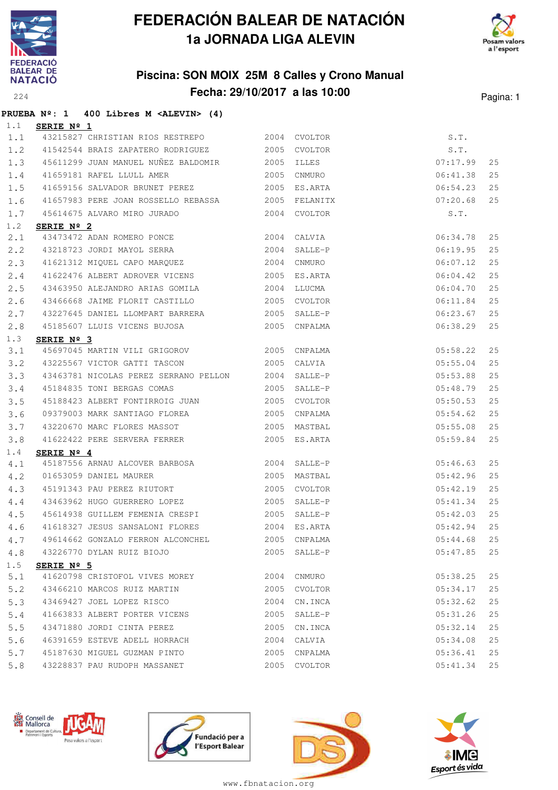

### **Piscina: SON MOIX 25M 8 Calles y Crono Manual Fecha: 29/10/2017 a las 10:00** Pagina: 1



**PRUEBA Nº: 1 400 Libres M <ALEVIN> (4)**

| 1.1 | SERIE Nº 1          |                                                                |                |               |    |
|-----|---------------------|----------------------------------------------------------------|----------------|---------------|----|
| 1.1 |                     | 43215827 CHRISTIAN RIOS RESTREPO 2004 CVOLTOR                  |                | S.T.          |    |
| 1.2 |                     | 41542544 BRAIS ZAPATERO RODRIGUEZ 2005 CVOLTOR                 |                | S.T.          |    |
| 1.3 |                     | 45611299 JUAN MANUEL NUÑEZ BALDOMIR 2005 ILLES                 |                | 07:17.99      | 25 |
| 1.4 |                     | 41659181 RAFEL LLULL AMER 2005 CNMURO                          |                | 06:41.38      | 25 |
| 1.5 |                     | 41659156 SALVADOR BRUNET PEREZ 60000 2005 ES.ARTA              |                | 06:54.23      | 25 |
| 1.6 |                     | 41657983 PERE JOAN ROSSELLO REBASSA 2005 FELANITX              |                | 07:20.68      | 25 |
| 1.7 |                     | 45614675 ALVARO MIRO JURADO                                    | 2004 CVOLTOR   | S.T.          |    |
| 1.2 | SERIE Nº 2          |                                                                |                |               |    |
| 2.1 |                     | 43473472 ADAN ROMERO PONCE 2004 CALVIA                         |                | 06:34.78      | 25 |
| 2.2 |                     | 43218723 JORDI MAYOL SERRA 2004 SALLE-P                        |                | 06:19.95      | 25 |
| 2.3 |                     | 41621312 MIQUEL CAPO MARQUEZ 2004 CNMURO                       |                | 06:07.12      | 25 |
| 2.4 |                     | 41622476 ALBERT ADROVER VICENS 2005 ES.ARTA                    |                | 06:04.42      | 25 |
| 2.5 |                     | 43463950 ALEJANDRO ARIAS GOMILA 6000 2004 LLUCMA               |                | 06:04.70      | 25 |
| 2.6 |                     |                                                                |                | 06:11.84      | 25 |
| 2.7 |                     | 43227645 DANIEL LLOMPART BARRERA 2005 SALLE-P                  |                | 06:23.67      | 25 |
| 2.8 |                     | 45185607 LLUIS VICENS BUJOSA 2005 CNPALMA                      |                | 06:38.29      | 25 |
| 1.3 | SERIE Nº 3          |                                                                |                |               |    |
| 3.1 |                     | 45697045 MARTIN VILI GRIGOROV 2005 CNPALMA                     |                | 05:58.22      | 25 |
| 3.2 |                     | 43225567 VICTOR GATTI TASCON 2005 CALVIA                       |                | 05:55.04      | 25 |
| 3.3 |                     | 43463781 NICOLAS PEREZ SERRANO PELLON 2004 SALLE-P             |                | 05:53.88      | 25 |
| 3.4 |                     | 45184835 TONI BERGAS COMAS                                     | $2005$ SALLE-P | 05:48.79      | 25 |
| 3.5 |                     |                                                                |                | 05:50.53      | 25 |
| 3.6 |                     | 09379003 MARK SANTIAGO FLOREA 2005 CNPALMA                     |                | 05:54.62      | 25 |
| 3.7 |                     | 43220670 MARC FLORES MASSOT 2005 MASTBAL                       |                | 05:55.08      | 25 |
| 3.8 |                     | 41622422 PERE SERVERA FERRER 2005 ES.ARTA                      |                | 05:59.84      | 25 |
| 1.4 | SERIE $N^{\circ}$ 4 |                                                                |                |               |    |
| 4.1 |                     | 45187556 ARNAU ALCOVER BARBOSA 2004 SALLE-P                    |                | 05:46.63      | 25 |
| 4.2 |                     |                                                                |                | 05:42.96      | 25 |
| 4.3 |                     |                                                                |                | 05:42.19      | 25 |
| 4.4 |                     | 43463962 HUGO GUERRERO LOPEZ                                   | 2005 SALLE-P   | 05:41.34      | 25 |
| 4.5 |                     |                                                                |                | 05:42.03      | 25 |
| 4.6 |                     |                                                                |                | 05:42.94      | 25 |
|     |                     | 4.7 49614662 GONZALO FERRON ALCONCHEL 2005 CNPALMA 65:44.68 25 |                |               |    |
| 4.8 |                     | 43226770 DYLAN RUIZ BIOJO                                      | 2005 SALLE-P   | $05:47.85$ 25 |    |
| 1.5 | SERIE Nº 5          |                                                                |                |               |    |
| 5.1 |                     | 41620798 CRISTOFOL VIVES MOREY 2004 CNMURO                     |                | 05:38.25      | 25 |
| 5.2 |                     | 43466210 MARCOS RUIZ MARTIN 43466210 MARCOS RUIZ MARTIN        |                | 05:34.17      | 25 |
| 5.3 |                     | 43469427 JOEL LOPEZ RISCO                                      | 2004 CN.INCA   | 05:32.62      | 25 |
| 5.4 |                     | 41663833 ALBERT PORTER VICENS 2005 SALLE-P                     |                | 05:31.26      | 25 |
| 5.5 |                     | 43471880 JORDI CINTA PEREZ<br>2005 CN.INCA                     |                | 05:32.14      | 25 |
| 5.6 |                     | 46391659 ESTEVE ADELL HORRACH 2004 CALVIA                      |                | 05:34.08      | 25 |
| 5.7 |                     | 45187630 MIGUEL GUZMAN PINTO                                   | 2005 CNPALMA   | 05:36.41      | 25 |
| 5.8 |                     | 43228837 PAU RUDOPH MASSANET 2005 CVOLTOR                      |                | 05:41.34 25   |    |
|     |                     |                                                                |                |               |    |







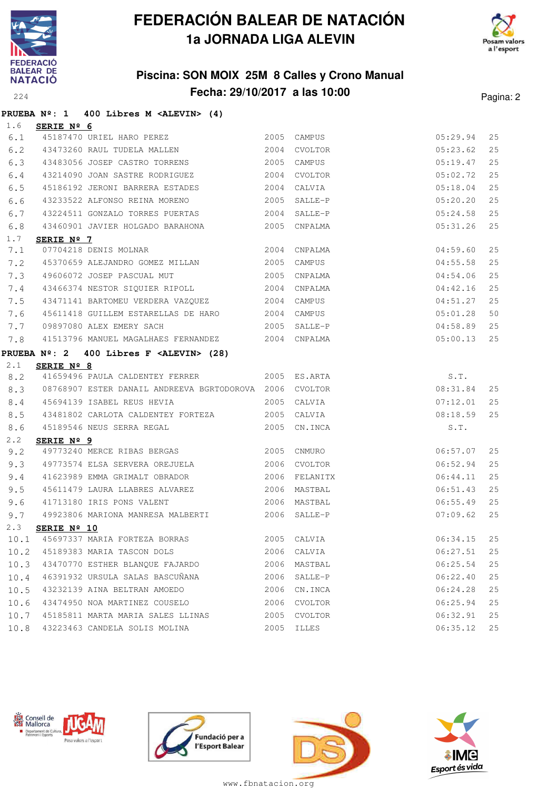



### **Piscina: SON MOIX 25M 8 Calles y Crono Manual Fecha: 29/10/2017 a las 10:00** Pagina: 2

|      |                     | PRUEBA $N^{\circ}$ : 1 400 Libres M <alevin> (4)</alevin>  |      |              |          |      |
|------|---------------------|------------------------------------------------------------|------|--------------|----------|------|
| 1.6  | <b>SERIE Nº 6</b>   |                                                            |      |              |          |      |
| 6.1  |                     | 45187470 URIEL HARO PEREZ 2005 CAMPUS                      |      |              | 05:29.94 | 25   |
| 6.2  |                     | 43473260 RAUL TUDELA MALLEN 2004                           |      | CVOLTOR      | 05:23.62 | 25   |
| 6.3  |                     | 43483056 JOSEP CASTRO TORRENS                              | 2005 | CAMPUS       | 05:19.47 | 25   |
| 6.4  |                     | 43214090 JOAN SASTRE RODRIGUEZ                             |      | 2004 CVOLTOR | 05:02.72 | 25   |
| 6.5  |                     | 45186192 JERONI BARRERA ESTADES 2004                       |      | CALVIA       | 05:18.04 | 25   |
| 6.6  |                     | 43233522 ALFONSO REINA MORENO 2005                         |      | SALLE-P      | 05:20.20 | 25   |
| 6.7  |                     | 43224511 GONZALO TORRES PUERTAS 2004                       |      | SALLE-P      | 05:24.58 | 25   |
| 6.8  |                     | 43460901 JAVIER HOLGADO BARAHONA 2005 CNPALMA              |      |              | 05:31.26 | 25   |
| 1.7  | SERIE Nº 7          |                                                            |      |              |          |      |
| 7.1  |                     | 07704218 DENIS MOLNAR 2004                                 |      | CNPALMA      | 04:59.60 | 25   |
| 7.2  |                     | 45370659 ALEJANDRO GOMEZ MILLAN 2005                       |      | CAMPUS       | 04:55.58 | 25   |
| 7.3  |                     | 49606072 JOSEP PASCUAL MUT 2005                            |      | CNPALMA      | 04:54.06 | 25   |
| 7.4  |                     | 43466374 NESTOR SIQUIER RIPOLL                             | 2004 | CNPALMA      | 04:42.16 | 25   |
| 7.5  |                     | 43471141 BARTOMEU VERDERA VAZQUEZ 2004                     |      | CAMPUS       | 04:51.27 | 25   |
| 7.6  |                     | 45611418 GUILLEM ESTARELLAS DE HARO 2004                   |      | CAMPUS       | 05:01.28 | 50   |
| 7.7  |                     | 2005<br>09897080 ALEX EMERY SACH                           |      | SALLE-P      | 04:58.89 | 25   |
| 7.8  |                     | 41513796 MANUEL MAGALHAES FERNANDEZ 2004 CNPALMA           |      |              | 05:00.13 | 25   |
|      |                     | PRUEBA $N^{\circ}$ : 2 400 Libres F <alevin> (28)</alevin> |      |              |          |      |
| 2.1  | SERIE Nº 8          |                                                            |      |              |          |      |
| 8.2  |                     | 41659496 PAULA CALDENTEY FERRER 2005 ES.ARTA               |      |              | S.T.     |      |
| 8.3  |                     | 08768907 ESTER DANAIL ANDREEVA BGRTODOROVA 2006 CVOLTOR    |      |              | 08:31.84 | 25   |
| 8.4  |                     | 45694139 ISABEL REUS HEVIA                                 | 2005 | CALVIA       | 07:12.01 | 25   |
| 8.5  |                     | 43481802 CARLOTA CALDENTEY FORTEZA 2005                    |      | CALVIA       | 08:18.59 | 25   |
| 8.6  |                     | 45189546 NEUS SERRA REGAL                                  | 2005 | CN.INCA      | S.T.     |      |
| 2.2  | SERIE $N^{\circ}$ 9 |                                                            |      |              |          |      |
| 9.2  |                     | 49773240 MERCE RIBAS BERGAS 2005 CNMURO                    |      |              | 06:57.07 | 25   |
| 9.3  |                     |                                                            |      | CVOLTOR      | 06:52.94 | 25   |
| 9.4  |                     | 41623989 EMMA GRIMALT OBRADOR                              | 2006 | FELANITX     | 06:44.11 | 25   |
| 9.5  |                     |                                                            |      |              | 06:51.43 | 25   |
| 9.6  |                     | 41713180 IRIS PONS VALENT                                  |      | 2006 MASTBAL | 06:55.49 | 25   |
| 9.7  |                     | 49923806 MARIONA MANRESA MALBERTI                          |      | 2006 SALLE-P | 07:09.62 | 25   |
|      |                     | 2.3 SERIE Nº 10                                            |      |              |          |      |
|      |                     | 10.1 45697337 MARIA FORTEZA BORRAS                         |      | 2005 CALVIA  | 06:34.15 | 25   |
| 10.2 |                     | 45189383 MARIA TASCON DOLS                                 |      | 2006 CALVIA  | 06:27.51 | 25   |
| 10.3 |                     | 43470770 ESTHER BLANOUE FAJARDO                            |      | 2006 MASTBAL | 06:25.54 | 25   |
| 10.4 |                     | 46391932 URSULA SALAS BASCUÑANA                            | 2006 | SALLE-P      | 06:22.40 | 25   |
| 10.5 |                     | 43232139 AINA BELTRAN AMOEDO                               | 2006 | CN.INCA      | 06:24.28 | $25$ |
| 10.6 |                     | 43474950 NOA MARTINEZ COUSELO                              | 2006 | CVOLTOR      | 06:25.94 | 25   |
| 10.7 |                     | 45185811 MARTA MARIA SALES LLINAS                          | 2005 | CVOLTOR      | 06:32.91 | 25   |
|      |                     | 10.8 43223463 CANDELA SOLIS MOLINA                         |      | 2005 ILLES   | 06:35.12 | 25   |







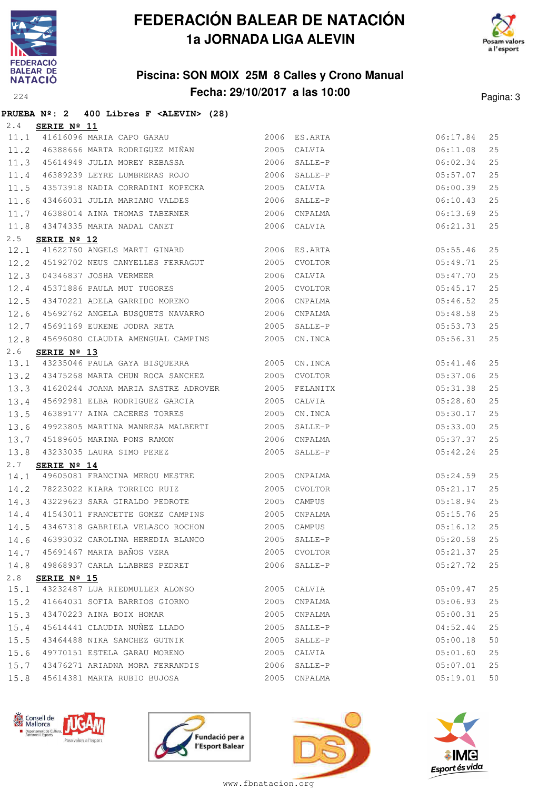



### **Piscina: SON MOIX 25M 8 Calles y Crono Manual Fecha: 29/10/2017 a las 10:00** Pagina: 3

|      |                      | PRUEBA $N^2$ : 2 400 Libres F <alevin> (28)</alevin>                                     |      |              |               |    |
|------|----------------------|------------------------------------------------------------------------------------------|------|--------------|---------------|----|
| 2.4  | SERIE Nº 11          |                                                                                          |      |              |               |    |
|      |                      | 11.1 41616096 MARIA CAPO GARAU 2006 ES.ARTA                                              |      |              | 06:17.84      | 25 |
|      |                      | 11.2 46388666 MARTA RODRIGUEZ MIÑAN 2005                                                 |      | CALVIA       | 06:11.08      | 25 |
|      |                      | 11.3 45614949 JULIA MOREY REBASSA 2006                                                   |      | SALLE-P      | 06:02.34      | 25 |
| 11.4 |                      | 46389239 LEYRE LUMBRERAS ROJO                                                            |      | 2006 SALLE-P | 05:57.07      | 25 |
| 11.5 |                      | 43573918 NADIA CORRADINI KOPECKA 2005                                                    |      | CALVIA       | 06:00.39      | 25 |
| 11.6 |                      | 43466031 JULIA MARIANO VALDES 2006                                                       |      | SALLE-P      | 06:10.43      | 25 |
| 11.7 |                      | 46388014 AINA THOMAS TABERNER                                                            | 2006 | CNPALMA      | 06:13.69      | 25 |
| 11.8 |                      | 43474335 MARTA NADAL CANET 2006 CALVIA                                                   |      |              | 06:21.31      | 25 |
| 2.5  | SERIE $N^{\circ}$ 12 |                                                                                          |      |              |               |    |
| 12.1 |                      | 41622760 ANGELS MARTI GINARD 2006 ES.ARTA                                                |      |              | 05:55.46      | 25 |
| 12.2 |                      | 45192702 NEUS CANYELLES FERRAGUT 2005                                                    |      | CVOLTOR      | 05:49.71      | 25 |
| 12.3 |                      | 04346837 JOSHA VERMEER 2006<br>45371886 PAULA MUT TUGORES 2005<br>04346837 JOSHA VERMEER |      | CALVIA       | 05:47.70      | 25 |
| 12.4 |                      |                                                                                          |      | CVOLTOR      | 05:45.17      | 25 |
| 12.5 |                      | 43470221 ADELA GARRIDO MORENO 2006                                                       |      | CNPALMA      | 05:46.52      | 25 |
| 12.6 |                      | 45692762 ANGELA BUSQUETS NAVARRO 2006                                                    |      | CNPALMA      | 05:48.58      | 25 |
| 12.7 |                      | 45691169 EUKENE JODRA RETA 2005                                                          |      | SALLE-P      | 05:53.73      | 25 |
| 12.8 |                      | 45696080 CLAUDIA AMENGUAL CAMPINS 2005 CN.INCA                                           |      |              | 05:56.31      | 25 |
| 2.6  | SERIE Nº 13          |                                                                                          |      |              |               |    |
|      |                      | 13.1 43235046 PAULA GAYA BISQUERRA 2005                                                  |      | CN.INCA      | 05:41.46      | 25 |
|      |                      | 13.2 43475268 MARTA CHUN ROCA SANCHEZ 2005                                               |      | CVOLTOR      | 05:37.06      | 25 |
| 13.3 |                      | 41620244 JOANA MARIA SASTRE ADROVER 2005 FELANITX                                        |      |              | 05:31.38      | 25 |
| 13.4 |                      | 45692981 ELBA RODRIGUEZ GARCIA 62005                                                     |      | CALVIA       | 05:28.60      | 25 |
| 13.5 |                      | 46389177 AINA CACERES TORRES 2005                                                        |      | CN.INCA      | 05:30.17      | 25 |
| 13.6 |                      | 49923805 MARTINA MANRESA MALBERTI 2005                                                   |      | SALLE-P      | 05:33.00      | 25 |
| 13.7 |                      | 45189605 MARINA PONS RAMON                                                               | 2006 | CNPALMA      | 05:37.37      | 25 |
| 13.8 |                      | 43233035 LAURA SIMO PEREZ 2005                                                           |      | SALLE-P      | 05:42.24      | 25 |
| 2.7  | SERIE Nº 14          |                                                                                          |      |              |               |    |
|      |                      | 14.1 49605081 FRANCINA MEROU MESTRE 2005                                                 |      | CNPALMA      | 05:24.59      | 25 |
|      |                      | 14.2 78223022 KIARA TORRICO RUIZ 2005                                                    |      | CVOLTOR      | 05:21.17      | 25 |
| 14.3 |                      | 43229623 SARA GIRALDO PEDROTE                                                            |      | 2005 CAMPUS  | 05:18.94      | 25 |
| 14.4 |                      | 41543011 FRANCETTE GOMEZ CAMPINS 2005 CNPALMA                                            |      |              | 05:15.76      | 25 |
|      |                      | 14.5 43467318 GABRIELA VELASCO ROCHON 2005 CAMPUS                                        |      |              | $05:16.12$ 25 |    |
|      |                      | 14.6 46393032 CAROLINA HEREDIA BLANCO 2005 SALLE-P                                       |      |              | 05:20.58      | 25 |
|      |                      | 14.7 45691467 MARTA BAÑOS VERA                                                           |      | 2005 CVOLTOR | 05:21.37      | 25 |
| 14.8 |                      | 49868937 CARLA LLABRES PEDRET                                                            |      | 2006 SALLE-P | 05:27.72      | 25 |
| 2.8  | SERIE $N^{\circ}$ 15 |                                                                                          |      |              |               |    |
| 15.1 |                      | 43232487 LUA RIEDMULLER ALONSO                                                           | 2005 | CALVIA       | 05:09.47      | 25 |
| 15.2 |                      | 41664031 SOFIA BARRIOS GIORNO                                                            | 2005 | CNPALMA      | 05:06.93      | 25 |
| 15.3 |                      | 43470223 AINA BOIX HOMAR                                                                 | 2005 | CNPALMA      | 05:00.31      | 25 |
| 15.4 |                      | 45614441 CLAUDIA NUÑEZ LLADO                                                             | 2005 | SALLE-P      | 04:52.44      | 25 |
| 15.5 |                      | 43464488 NIKA SANCHEZ GUTNIK                                                             | 2005 | SALLE-P      | 05:00.18      | 50 |
| 15.6 |                      | 49770151 ESTELA GARAU MORENO                                                             | 2005 | CALVIA       | 05:01.60      | 25 |
| 15.7 |                      | 43476271 ARIADNA MORA FERRANDIS                                                          | 2006 | SALLE-P      | 05:07.01      | 25 |
| 15.8 |                      | 45614381 MARTA RUBIO BUJOSA                                                              | 2005 | CNPALMA      | 05:19.01      | 50 |







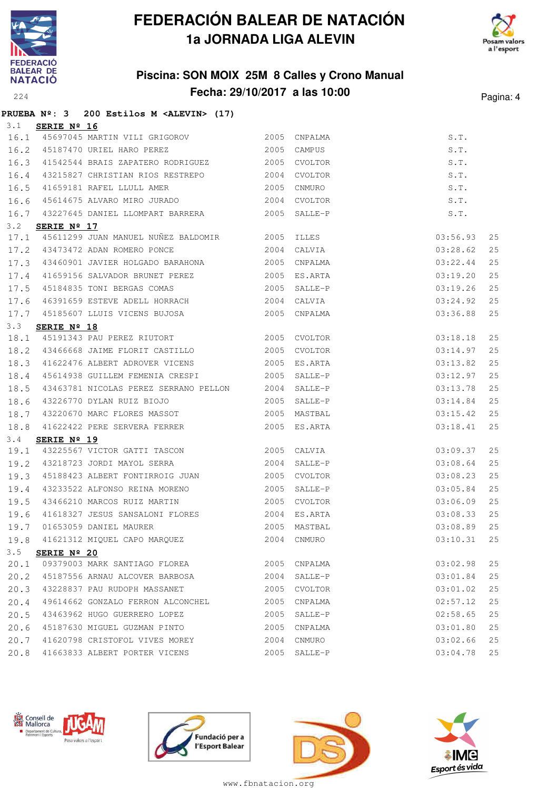





### **PRUEBA Nº: 3 200 Estilos M <ALEVIN> (17)**

| 3.1  | SERIE Nº 16          |                                                                                               |      |                                        |          |    |
|------|----------------------|-----------------------------------------------------------------------------------------------|------|----------------------------------------|----------|----|
|      |                      |                                                                                               |      |                                        | S.T.     |    |
|      |                      | 16.1 45697045 MARTIN VILI GRIGOROV 2005 CNPALMA<br>16.2 45187470 URIEL HARO PEREZ 2005 CAMPUS |      |                                        | S.T.     |    |
| 16.3 |                      |                                                                                               |      |                                        | S.T.     |    |
| 16.4 |                      | 43215827 CHRISTIAN RIOS RESTREPO 2004 CVOLTOR                                                 |      |                                        | S.T.     |    |
| 16.5 |                      | 41659181 RAFEL LLULL AMER 2005                                                                |      | S.1.<br>S.T.<br>S.T.<br>S.T.<br>CNMURO |          |    |
| 16.6 |                      | 45614675 ALVARO MIRO JURADO 2004 CVOLTOR                                                      |      |                                        |          |    |
| 16.7 |                      | 43227645 DANIEL LLOMPART BARRERA 2005 SALLE-P                                                 |      |                                        |          |    |
| 3.2  | SERIE Nº 17          |                                                                                               |      |                                        |          |    |
| 17.1 |                      | 45611299 JUAN MANUEL NUÑEZ BALDOMIR 2005 ILLES                                                |      |                                        | 03:56.93 | 25 |
| 17.2 |                      | 43473472 ADAN ROMERO PONCE                                                                    |      | 2004 CALVIA                            | 03:28.62 | 25 |
| 17.3 |                      | 43460901 JAVIER HOLGADO BARAHONA 2005 CNPALMA                                                 |      |                                        | 03:22.44 | 25 |
| 17.4 |                      | 41659156 SALVADOR BRUNET PEREZ 2005 ES.ARTA                                                   |      |                                        | 03:19.20 | 25 |
|      |                      | 17.5 45184835 TONI BERGAS COMAS                                                               |      | $2005$ SALLE-P                         | 03:19.26 | 25 |
| 17.6 |                      | 46391659 ESTEVE ADELL HORRACH 2004 CALVIA                                                     |      |                                        | 03:24.92 | 25 |
| 17.7 |                      | 45185607 LLUIS VICENS BUJOSA 2005 CNPALMA                                                     |      |                                        | 03:36.88 | 25 |
| 3.3  | SERIE Nº 18          |                                                                                               |      |                                        |          |    |
| 18.1 |                      | 45191343 PAU PEREZ RIUTORT 2005 CVOLTOR                                                       |      |                                        | 03:18.18 | 25 |
| 18.2 |                      | 43466668 JAIME FLORIT CASTILLO                                                                |      | 2005 CVOLTOR                           | 03:14.97 | 25 |
| 18.3 |                      | 41622476 ALBERT ADROVER VICENS 2005 ES.ARTA                                                   |      |                                        | 03:13.82 | 25 |
| 18.4 |                      | 45614938 GUILLEM FEMENIA CRESPI 2005                                                          |      | SALLE-P                                | 03:12.97 | 25 |
| 18.5 |                      | 43463781 NICOLAS PEREZ SERRANO PELLON 2004 SALLE-P                                            |      |                                        | 03:13.78 | 25 |
| 18.6 |                      | 43226770 DYLAN RUIZ BIOJO                                                                     |      | 2005 SALLE-P                           | 03:14.84 | 25 |
| 18.7 |                      | 43220670 MARC FLORES MASSOT 2005 MASTBAL                                                      |      |                                        | 03:15.42 | 25 |
| 18.8 |                      | 41622422 PERE SERVERA FERRER 2005 ES.ARTA                                                     |      |                                        | 03:18.41 | 25 |
| 3.4  | SERIE Nº 19          |                                                                                               |      |                                        |          |    |
| 19.1 |                      | 43225567 VICTOR GATTI TASCON 2005 CALVIA                                                      |      |                                        | 03:09.37 | 25 |
| 19.2 |                      | 43218723 JORDI MAYOL SERRA                                                                    |      | 2004 SALLE-P                           | 03:08.64 | 25 |
| 19.3 |                      | 45188423 ALBERT FONTIRROIG JUAN 2005 CVOLTOR                                                  |      |                                        | 03:08.23 | 25 |
| 19.4 |                      | 43233522 ALFONSO REINA MORENO 2005                                                            |      | SALLE-P                                | 03:05.84 | 25 |
| 19.5 |                      | 43466210 MARCOS RUIZ MARTIN 2005 CVOLTOR                                                      |      |                                        | 03:06.09 | 25 |
| 19.6 |                      | 41618327 JESUS SANSALONI FLORES 2004 ES.ARTA                                                  |      |                                        | 03:08.33 | 25 |
| 19.7 |                      | 01653059 DANIEL MAURER 2005 MASTBAL                                                           |      | $03:08.89$ 25<br>$03:10.31$ 25         | 03:08.89 | 25 |
| 19.8 |                      | 41621312 MIQUEL CAPO MARQUEZ 2004 CNMURO                                                      |      |                                        |          |    |
| 3.5  | SERIE $N^{\circ}$ 20 |                                                                                               |      |                                        |          |    |
|      |                      | 20.1 09379003 MARK SANTIAGO FLOREA 2005 CNPALMA                                               |      |                                        | 03:02.98 | 25 |
|      |                      | 20.2 45187556 ARNAU ALCOVER BARBOSA                                                           |      | 2004 SALLE-P                           | 03:01.84 | 25 |
| 20.3 |                      | 43228837 PAU RUDOPH MASSANET 2005 CVOLTOR                                                     |      |                                        | 03:01.02 | 25 |
| 20.4 |                      | 49614662 GONZALO FERRON ALCONCHEL 2005                                                        |      | CNPALMA                                | 02:57.12 | 25 |
| 20.5 |                      | 43463962 HUGO GUERRERO LOPEZ                                                                  | 2005 | SALLE-P                                | 02:58.65 | 25 |
| 20.6 |                      | 45187630 MIGUEL GUZMAN PINTO                                                                  | 2005 | CNPALMA                                | 03:01.80 | 25 |
| 20.7 |                      | 41620798 CRISTOFOL VIVES MOREY                                                                | 2004 | CNMURO                                 | 03:02.66 | 25 |
| 20.8 |                      | 41663833 ALBERT PORTER VICENS                                                                 |      | 2005 SALLE-P                           | 03:04.78 | 25 |







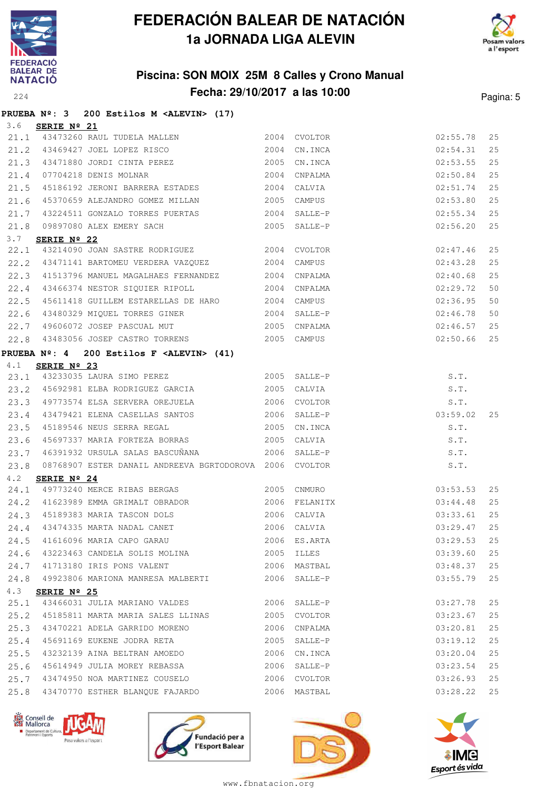



### **Piscina: SON MOIX 25M 8 Calles y Crono Manual Fecha: 29/10/2017 a las 10:00** Pagina: 5

|      |                      | PRUEBA $N^{\circ}$ : 3 200 Estilos M <alevin> (17)</alevin>                                |      |              |                      |    |
|------|----------------------|--------------------------------------------------------------------------------------------|------|--------------|----------------------|----|
| 3.6  | SERIE Nº 21          |                                                                                            |      |              |                      |    |
|      |                      | 21.1 43473260 RAUL TUDELA MALLEN 2004 CVOLTOR                                              |      |              | 02:55.78             | 25 |
|      |                      | 21.2 43469427 JOEL LOPEZ RISCO 2004                                                        |      | CN.INCA      | 02:54.31             | 25 |
| 21.3 |                      | 43471880 JORDI CINTA PEREZ 2005                                                            |      | CN.INCA      | 02:53.55             | 25 |
| 21.4 |                      | 2004<br>07704218 DENIS MOLNAR                                                              |      | CNPALMA      | 02:50.84             | 25 |
| 21.5 |                      | 45186192 JERONI BARRERA ESTADES 2004 CALVIA                                                |      |              | 02:51.74             | 25 |
| 21.6 |                      | 45370659 ALEJANDRO GOMEZ MILLAN 2005 CAMPUS                                                |      |              | 02:53.80             | 25 |
| 21.7 |                      | 43224511 GONZALO TORRES PUERTAS 2004                                                       |      | SALLE-P      | 02:55.34             | 25 |
| 21.8 |                      | 09897080 ALEX EMERY SACH 2005 SALLE-P                                                      |      |              | 02:56.20             | 25 |
| 3.7  | SERIE Nº 22          |                                                                                            |      |              |                      |    |
| 22.1 |                      | 43214090 JOAN SASTRE RODRIGUEZ 2004 CVOLTOR                                                |      |              | 02:47.46             | 25 |
| 22.2 |                      | 43471141 BARTOMEU VERDERA VAZQUEZ 2004                                                     |      | CAMPUS       | 02:43.28             | 25 |
| 22.3 |                      | 41513796 MANUEL MAGALHAES FERNANDEZ 2004 CNPALMA                                           |      |              | 02:40.68             | 25 |
|      |                      | 22.4 43466374 NESTOR SIQUIER RIPOLL                                                        |      | 2004 CNPALMA | 02:29.72             | 50 |
| 22.5 |                      | 45611418 GUILLEM ESTARELLAS DE HARO 2004 CAMPUS                                            |      |              | 02:36.95             | 50 |
| 22.6 |                      | 43480329 MIQUEL TORRES GINER 2004 SALLE-P                                                  |      |              | 02:46.78             | 50 |
| 22.7 |                      | 49606072 JOSEP PASCUAL MUT 49606072 2005                                                   |      |              | 02:46.57             | 25 |
| 22.8 |                      | 43483056 JOSEP CASTRO TORRENS                                                              |      | 2005 CAMPUS  | 02:50.66             | 25 |
|      |                      | PRUEBA $N^{\circ}$ : 4 200 Estilos F <alevin> (41)</alevin>                                |      |              |                      |    |
| 4.1  | SERIE $N^{\circ}$ 23 |                                                                                            |      |              |                      |    |
|      |                      | 23.1 43233035 LAURA SIMO PEREZ 2005 SALLE-P                                                |      |              | S.T.                 |    |
|      |                      | 23.2 45692981 ELBA RODRIGUEZ GARCIA 2005 CALVIA                                            |      |              | S.T.                 |    |
| 23.3 |                      | 49773574 ELSA SERVERA OREJUELA                                                             |      | 2006 CVOLTOR | $S.T.$<br>$03:59.02$ |    |
| 23.4 |                      |                                                                                            |      |              |                      | 25 |
| 23.5 |                      | 45189546 NEUS SERRA REGAL 2005                                                             |      | CN.INCA      | S.T.                 |    |
| 23.6 |                      |                                                                                            |      |              | S.T.                 |    |
| 23.7 |                      | 46391932 URSULA SALAS BASCUÑANA (2006 SALLE-P                                              |      |              | S.T.                 |    |
| 23.8 |                      | 08768907 ESTER DANAIL ANDREEVA BGRTODOROVA 2006 CVOLTOR                                    |      |              | S.T.                 |    |
| 4.2  | SERIE $N^{\circ}$ 24 |                                                                                            |      |              |                      |    |
|      |                      | 24.1 49773240 MERCE RIBAS BERGAS 2005 CNMURO                                               |      |              | 03:53.53             | 25 |
|      |                      | 24.2 41623989 EMMA GRIMALT OBRADOR 6 2006 FELANITX                                         |      |              | 03:44.48             | 25 |
|      |                      | 24.3 45189383 MARIA TASCON DOLS 2006 CALVIA<br>24.4 43474335 MARTA NADAL CANET 2006 CALVIA |      |              | 03:33.61             | 25 |
|      |                      |                                                                                            |      |              | 03:29.47             | 25 |
| 24.5 |                      | 41616096 MARIA CAPO GARAU                                                                  |      | 2006 ES.ARTA | 03:29.53             | 25 |
| 24.6 |                      | 43223463 CANDELA SOLIS MOLINA                                                              | 2005 | ILLES        | 03:39.60             | 25 |
| 24.7 |                      | 41713180 IRIS PONS VALENT                                                                  |      | 2006 MASTBAL | 03:48.37             | 25 |
| 24.8 |                      | 49923806 MARIONA MANRESA MALBERTI (2006)                                                   |      | SALLE-P      | 03:55.79             | 25 |
| 4.3  | SERIE Nº 25          |                                                                                            |      |              |                      |    |
| 25.1 |                      | 43466031 JULIA MARIANO VALDES 2006                                                         |      | SALLE-P      | 03:27.78             | 25 |
| 25.2 |                      | 45185811 MARTA MARIA SALES LLINAS                                                          | 2005 | CVOLTOR      | 03:23.67             | 25 |
| 25.3 |                      | 43470221 ADELA GARRIDO MORENO                                                              | 2006 | CNPALMA      | 03:20.81             | 25 |
| 25.4 |                      | 45691169 EUKENE JODRA RETA                                                                 | 2005 | SALLE-P      | 03:19.12             | 25 |
| 25.5 |                      | 43232139 AINA BELTRAN AMOEDO                                                               | 2006 | CN.INCA      | 03:20.04             | 25 |
| 25.6 |                      | 45614949 JULIA MOREY REBASSA                                                               | 2006 | SALLE-P      | 03:23.54             | 25 |
| 25.7 |                      | 43474950 NOA MARTINEZ COUSELO                                                              | 2006 | CVOLTOR      | 03:26.93             | 25 |
| 25.8 |                      | 43470770 ESTHER BLANQUE FAJARDO                                                            | 2006 | MASTBAL      | 03:28.22             | 25 |